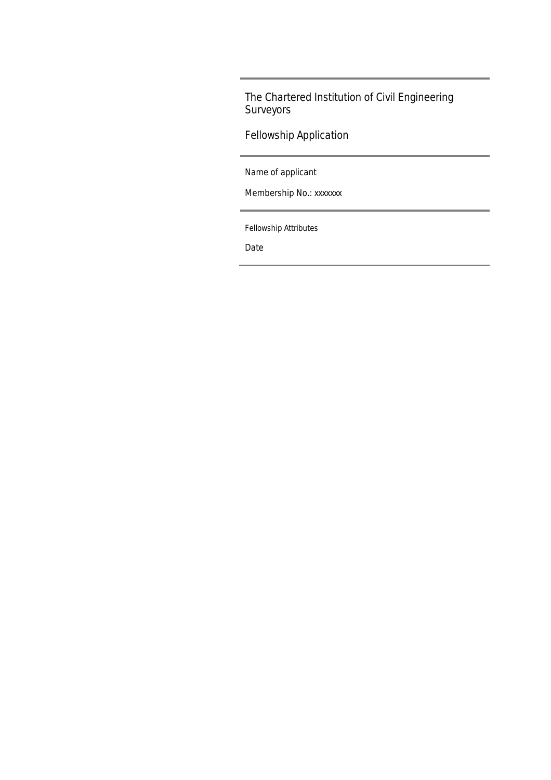Fellowship Application

Name of applicant

Membership No.: xxxxxxx

Fellowship Attributes

Date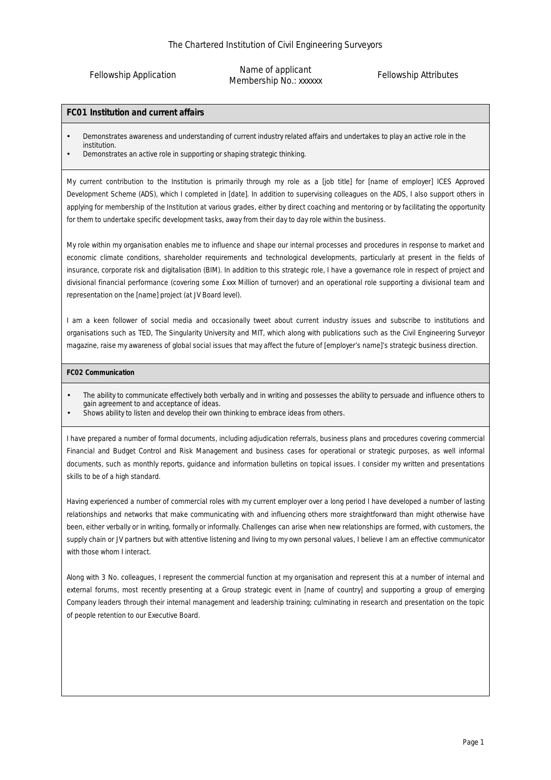Fellowship Application

Name of applicant Membership No.: xxxxxx

Fellowship Attributes

### **FC01 Institution and current affairs**

- Demonstrates awareness and understanding of current industry related affairs and undertakes to play an active role in the institution.
- Demonstrates an active role in supporting or shaping strategic thinking.

My current contribution to the Institution is primarily through my role as a [*job title*] for [*name of employer*] ICES Approved Development Scheme (ADS), which I completed in [*date]*. In addition to supervising colleagues on the ADS, I also support others in applying for membership of the Institution at various grades, either by direct coaching and mentoring or by facilitating the opportunity for them to undertake specific development tasks, away from their day to day role within the business.

My role within my organisation enables me to influence and shape our internal processes and procedures in response to market and economic climate conditions, shareholder requirements and technological developments, particularly at present in the fields of insurance, corporate risk and digitalisation (BIM). In addition to this strategic role, I have a governance role in respect of project and divisional financial performance (covering some £xxx Million of turnover) and an operational role supporting a divisional team and representation on the [*name*] project (at JV Board level).

I am a keen follower of social media and occasionally tweet about current industry issues and subscribe to institutions and organisations such as TED, The Singularity University and MIT, which along with publications such as the Civil Engineering Surveyor magazine, raise my awareness of global social issues that may affect the future of [*employer's name*]'s strategic business direction.

### **FC02 Communication**

- The ability to communicate effectively both verbally and in writing and possesses the ability to persuade and influence others to gain agreement to and acceptance of ideas.
- Shows ability to listen and develop their own thinking to embrace ideas from others.

I have prepared a number of formal documents, including adjudication referrals, business plans and procedures covering commercial Financial and Budget Control and Risk Management and business cases for operational or strategic purposes, as well informal documents, such as monthly reports, guidance and information bulletins on topical issues. I consider my written and presentations skills to be of a high standard.

Having experienced a number of commercial roles with my current employer over a long period I have developed a number of lasting relationships and networks that make communicating with and influencing others more straightforward than might otherwise have been, either verbally or in writing, formally or informally. Challenges can arise when new relationships are formed, with customers, the supply chain or JV partners but with attentive listening and living to my own personal values, I believe I am an effective communicator with those whom I interact.

Along with 3 No. colleagues, I represent the commercial function at my organisation and represent this at a number of internal and external forums, most recently presenting at a Group strategic event in [*name of country*] and supporting a group of emerging Company leaders through their internal management and leadership training; culminating in research and presentation on the topic of people retention to our Executive Board.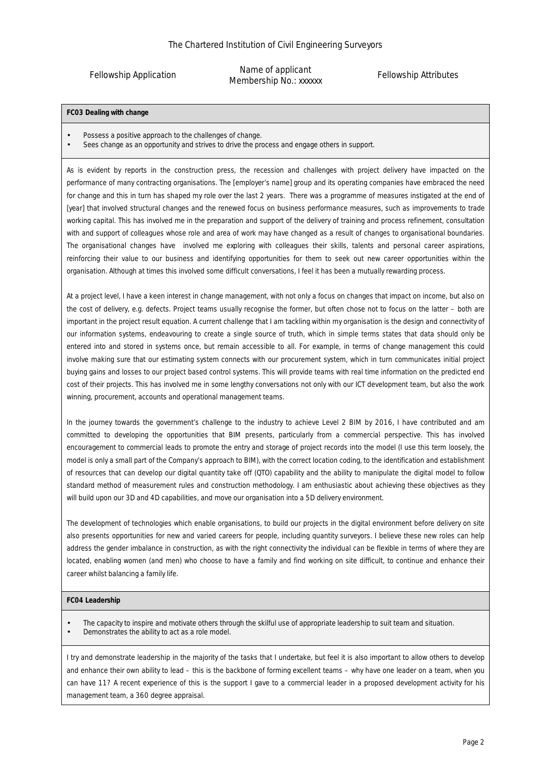Fellowship Application

Name of applicant Membership No.: xxxxxx

Fellowship Attributes

### **FC03 Dealing with change**

- Possess a positive approach to the challenges of change.
- Sees change as an opportunity and strives to drive the process and engage others in support.

As is evident by reports in the construction press, the recession and challenges with project delivery have impacted on the performance of many contracting organisations. The [*employer's name*] group and its operating companies have embraced the need for change and this in turn has shaped my role over the last 2 years. There was a programme of measures instigated at the end of [*year*] that involved structural changes and the renewed focus on business performance measures, such as improvements to trade working capital. This has involved me in the preparation and support of the delivery of training and process refinement, consultation with and support of colleagues whose role and area of work may have changed as a result of changes to organisational boundaries. The organisational changes have involved me exploring with colleagues their skills, talents and personal career aspirations, reinforcing their value to our business and identifying opportunities for them to seek out new career opportunities within the organisation. Although at times this involved some difficult conversations, I feel it has been a mutually rewarding process.

At a project level, I have a keen interest in change management, with not only a focus on changes that impact on income, but also on the cost of delivery, e.g. defects. Project teams usually recognise the former, but often chose not to focus on the latter – both are important in the project result equation. A current challenge that I am tackling within my organisation is the design and connectivity of our information systems, endeavouring to create a single source of truth, which in simple terms states that data should only be entered into and stored in systems once, but remain accessible to all. For example, in terms of change management this could involve making sure that our estimating system connects with our procurement system, which in turn communicates initial project buying gains and losses to our project based control systems. This will provide teams with real time information on the predicted end cost of their projects. This has involved me in some lengthy conversations not only with our ICT development team, but also the work winning, procurement, accounts and operational management teams.

In the journey towards the government's challenge to the industry to achieve Level 2 BIM by 2016, I have contributed and am committed to developing the opportunities that BIM presents, particularly from a commercial perspective. This has involved encouragement to commercial leads to promote the entry and storage of project records into the model (I use this term loosely, the model is only a small part of the Company's approach to BIM), with the correct location coding, to the identification and establishment of resources that can develop our digital quantity take off (QTO) capability and the ability to manipulate the digital model to follow standard method of measurement rules and construction methodology. I am enthusiastic about achieving these objectives as they will build upon our 3D and 4D capabilities, and move our organisation into a 5D delivery environment.

The development of technologies which enable organisations, to build our projects in the digital environment before delivery on site also presents opportunities for new and varied careers for people, including quantity surveyors. I believe these new roles can help address the gender imbalance in construction, as with the right connectivity the individual can be flexible in terms of where they are located, enabling women (and men) who choose to have a family and find working on site difficult, to continue and enhance their career whilst balancing a family life.

#### **FC04 Leadership**

• The capacity to inspire and motivate others through the skilful use of appropriate leadership to suit team and situation. • Demonstrates the ability to act as a role model.

I try and demonstrate leadership in the majority of the tasks that I undertake, but feel it is also important to allow others to develop and enhance their own ability to lead – this is the backbone of forming excellent teams – why have one leader on a team, when you can have 11? A recent experience of this is the support I gave to a commercial leader in a proposed development activity for his management team, a 360 degree appraisal.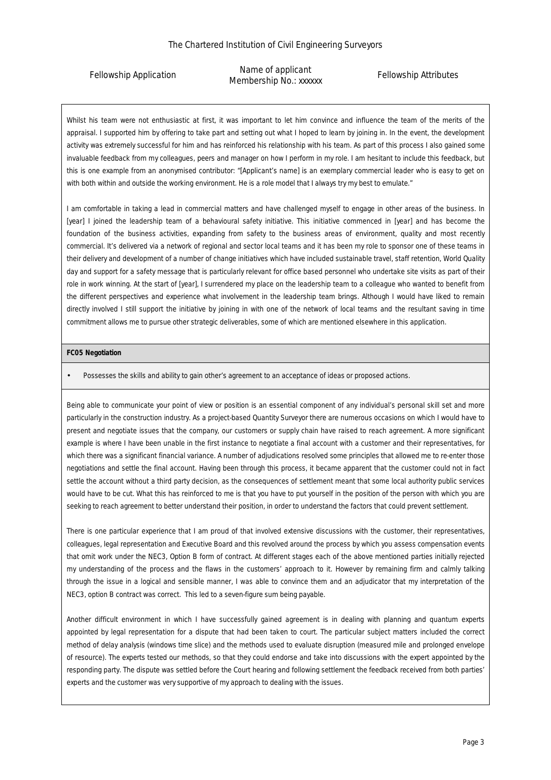Fellowship Application

Name of applicant Membership No.: xxxxxx

# Fellowship Attributes

Whilst his team were not enthusiastic at first, it was important to let him convince and influence the team of the merits of the appraisal. I supported him by offering to take part and setting out what I hoped to learn by joining in. In the event, the development activity was extremely successful for him and has reinforced his relationship with his team. As part of this process I also gained some invaluable feedback from my colleagues, peers and manager on how I perform in my role. I am hesitant to include this feedback, but this is one example from an anonymised contributor: *"[Applicant's name] is an exemplary commercial leader who is easy to get on*  with both within and outside the working environment. He is a role model that I always try my best to emulate."

I am comfortable in taking a lead in commercial matters and have challenged myself to engage in other areas of the business. In [*year*] I joined the leadership team of a behavioural safety initiative. This initiative commenced in [*year*] and has become the foundation of the business activities, expanding from safety to the business areas of environment, quality and most recently commercial. It's delivered via a network of regional and sector local teams and it has been my role to sponsor one of these teams in their delivery and development of a number of change initiatives which have included sustainable travel, staff retention, World Quality day and support for a safety message that is particularly relevant for office based personnel who undertake site visits as part of their role in work winning. At the start of [*year*], I surrendered my place on the leadership team to a colleague who wanted to benefit from the different perspectives and experience what involvement in the leadership team brings. Although I would have liked to remain directly involved I still support the initiative by joining in with one of the network of local teams and the resultant saving in time commitment allows me to pursue other strategic deliverables, some of which are mentioned elsewhere in this application.

## **FC05 Negotiation**

• Possesses the skills and ability to gain other's agreement to an acceptance of ideas or proposed actions.

Being able to communicate your point of view or position is an essential component of any individual's personal skill set and more particularly in the construction industry. As a project-based Quantity Surveyor there are numerous occasions on which I would have to present and negotiate issues that the company, our customers or supply chain have raised to reach agreement. A more significant example is where I have been unable in the first instance to negotiate a final account with a customer and their representatives, for which there was a significant financial variance. A number of adjudications resolved some principles that allowed me to re-enter those negotiations and settle the final account. Having been through this process, it became apparent that the customer could not in fact settle the account without a third party decision, as the consequences of settlement meant that some local authority public services would have to be cut. What this has reinforced to me is that you have to put yourself in the position of the person with which you are seeking to reach agreement to better understand their position, in order to understand the factors that could prevent settlement.

There is one particular experience that I am proud of that involved extensive discussions with the customer, their representatives, colleagues, legal representation and Executive Board and this revolved around the process by which you assess compensation events that omit work under the NEC3, Option B form of contract. At different stages each of the above mentioned parties initially rejected my understanding of the process and the flaws in the customers' approach to it. However by remaining firm and calmly talking through the issue in a logical and sensible manner, I was able to convince them and an adjudicator that my interpretation of the NEC3, option B contract was correct. This led to a seven-figure sum being payable.

Another difficult environment in which I have successfully gained agreement is in dealing with planning and quantum experts appointed by legal representation for a dispute that had been taken to court. The particular subject matters included the correct method of delay analysis (windows time slice) and the methods used to evaluate disruption (measured mile and prolonged envelope of resource). The experts tested our methods, so that they could endorse and take into discussions with the expert appointed by the responding party. The dispute was settled before the Court hearing and following settlement the feedback received from both parties' experts and the customer was very supportive of my approach to dealing with the issues.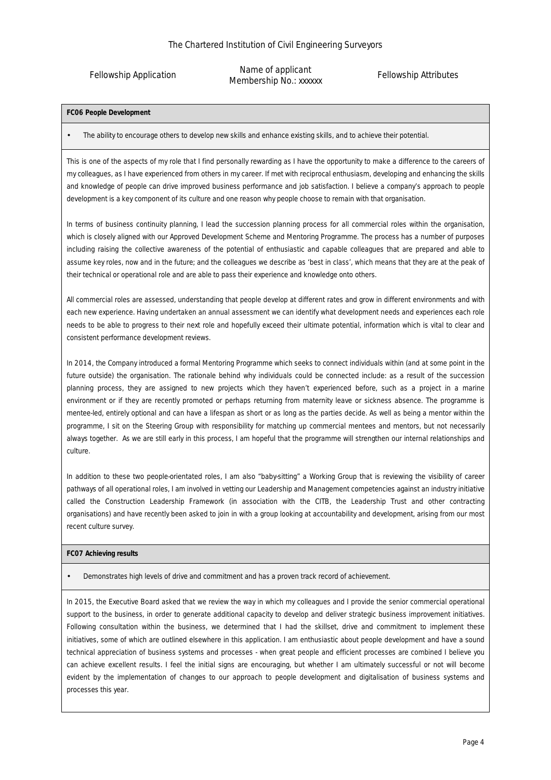Fellowship Application

Name of applicant Membership No.: xxxxxx

Fellowship Attributes

**FC06 People Development** 

• The ability to encourage others to develop new skills and enhance existing skills, and to achieve their potential.

This is one of the aspects of my role that I find personally rewarding as I have the opportunity to make a difference to the careers of my colleagues, as I have experienced from others in my career. If met with reciprocal enthusiasm, developing and enhancing the skills and knowledge of people can drive improved business performance and job satisfaction. I believe a company's approach to people development is a key component of its culture and one reason why people choose to remain with that organisation.

In terms of business continuity planning, I lead the succession planning process for all commercial roles within the organisation, which is closely aligned with our Approved Development Scheme and Mentoring Programme. The process has a number of purposes including raising the collective awareness of the potential of enthusiastic and capable colleagues that are prepared and able to assume key roles, now and in the future; and the colleagues we describe as 'best in class', which means that they are at the peak of their technical or operational role and are able to pass their experience and knowledge onto others.

All commercial roles are assessed, understanding that people develop at different rates and grow in different environments and with each new experience. Having undertaken an annual assessment we can identify what development needs and experiences each role needs to be able to progress to their next role and hopefully exceed their ultimate potential, information which is vital to clear and consistent performance development reviews.

In 2014, the Company introduced a formal Mentoring Programme which seeks to connect individuals within (and at some point in the future outside) the organisation. The rationale behind why individuals could be connected include: as a result of the succession planning process, they are assigned to new projects which they haven't experienced before, such as a project in a marine environment or if they are recently promoted or perhaps returning from maternity leave or sickness absence. The programme is mentee-led, entirely optional and can have a lifespan as short or as long as the parties decide. As well as being a mentor within the programme, I sit on the Steering Group with responsibility for matching up commercial mentees and mentors, but not necessarily always together. As we are still early in this process, I am hopeful that the programme will strengthen our internal relationships and culture.

In addition to these two people-orientated roles, I am also "baby-sitting" a Working Group that is reviewing the visibility of career pathways of all operational roles, I am involved in vetting our Leadership and Management competencies against an industry initiative called the Construction Leadership Framework (in association with the CITB, the Leadership Trust and other contracting organisations) and have recently been asked to join in with a group looking at accountability and development, arising from our most recent culture survey.

**FC07 Achieving results** 

• Demonstrates high levels of drive and commitment and has a proven track record of achievement.

In 2015, the Executive Board asked that we review the way in which my colleagues and I provide the senior commercial operational support to the business, in order to generate additional capacity to develop and deliver strategic business improvement initiatives. Following consultation within the business, we determined that I had the skillset, drive and commitment to implement these initiatives, some of which are outlined elsewhere in this application. I am enthusiastic about people development and have a sound technical appreciation of business systems and processes - when great people and efficient processes are combined I believe you can achieve excellent results. I feel the initial signs are encouraging, but whether I am ultimately successful or not will become evident by the implementation of changes to our approach to people development and digitalisation of business systems and processes this year.